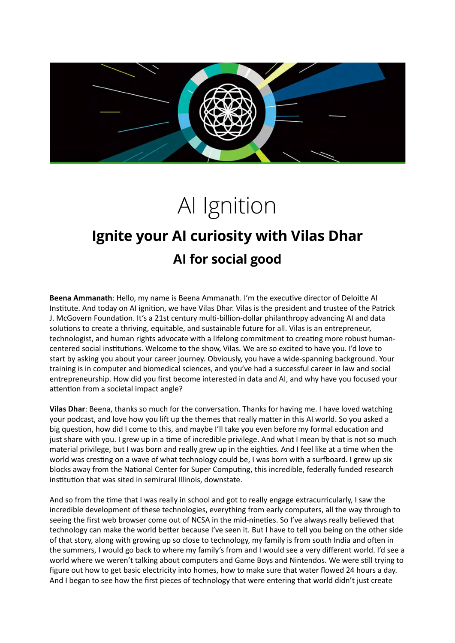

## AI Ignition

## **Ignite your AI curiosity with Vilas Dhar AI for social good**

**Beena Ammanath**: Hello, my name is Beena Ammanath. I'm the executive director of Deloitte AI Institute. And today on AI ignition, we have Vilas Dhar. Vilas is the president and trustee of the Patrick J. McGovern Foundation. It's a 21st century multi-billion-dollar philanthropy advancing AI and data solutions to create a thriving, equitable, and sustainable future for all. Vilas is an entrepreneur, technologist, and human rights advocate with a lifelong commitment to creating more robust humancentered social institutions. Welcome to the show, Vilas. We are so excited to have you. I'd love to start by asking you about your career journey. Obviously, you have a wide-spanning background. Your training is in computer and biomedical sciences, and you've had a successful career in law and social entrepreneurship. How did you first become interested in data and AI, and why have you focused your attention from a societal impact angle?

**Vilas Dhar**: Beena, thanks so much for the conversation. Thanks for having me. I have loved watching your podcast, and love how you lift up the themes that really matter in this AI world. So you asked a big question, how did I come to this, and maybe I'll take you even before my formal education and just share with you. I grew up in a time of incredible privilege. And what I mean by that is not so much material privilege, but I was born and really grew up in the eighties. And I feel like at a time when the world was cresting on a wave of what technology could be, I was born with a surfboard. I grew up six blocks away from the National Center for Super Computing, this incredible, federally funded research institution that was sited in semirural Illinois, downstate.

And so from the time that I was really in school and got to really engage extracurricularly, I saw the incredible development of these technologies, everything from early computers, all the way through to seeing the first web browser come out of NCSA in the mid-nineties. So I've always really believed that technology can make the world better because I've seen it. But I have to tell you being on the other side of that story, along with growing up so close to technology, my family is from south India and often in the summers, I would go back to where my family's from and I would see a very different world. I'd see a world where we weren't talking about computers and Game Boys and Nintendos. We were still trying to figure out how to get basic electricity into homes, how to make sure that water flowed 24 hours a day. And I began to see how the first pieces of technology that were entering that world didn't just create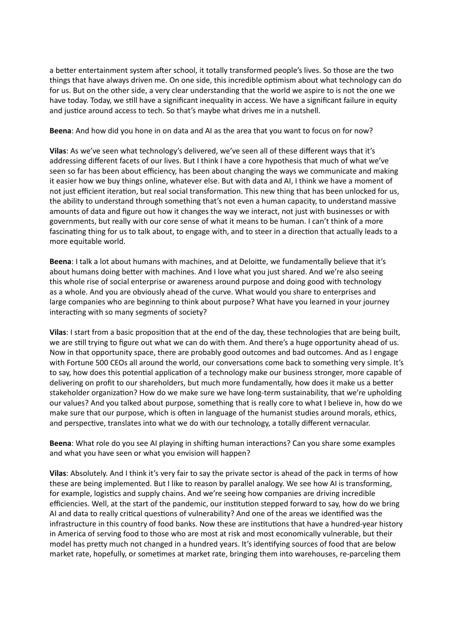a better entertainment system after school, it totally transformed people's lives. So those are the two things that have always driven me. On one side, this incredible optimism about what technology can do for us. But on the other side, a very clear understanding that the world we aspire to is not the one we have today. Today, we still have a significant inequality in access. We have a significant failure in equity and justice around access to tech. So that's maybe what drives me in a nutshell.

## **Beena**: And how did you hone in on data and AI as the area that you want to focus on for now?

**Vilas**: As we've seen what technology's delivered, we've seen all of these different ways that it's addressing different facets of our lives. But I think I have a core hypothesis that much of what we've seen so far has been about efficiency, has been about changing the ways we communicate and making it easier how we buy things online, whatever else. But with data and AI, I think we have a moment of not just efficient iteration, but real social transformation. This new thing that has been unlocked for us, the ability to understand through something that's not even a human capacity, to understand massive amounts of data and figure out how it changes the way we interact, not just with businesses or with governments, but really with our core sense of what it means to be human. I can't think of a more fascinating thing for us to talk about, to engage with, and to steer in a direction that actually leads to a more equitable world.

**Beena**: I talk a lot about humans with machines, and at Deloitte, we fundamentally believe that it's about humans doing better with machines. And I love what you just shared. And we're also seeing this whole rise of social enterprise or awareness around purpose and doing good with technology as a whole. And you are obviously ahead of the curve. What would you share to enterprises and large companies who are beginning to think about purpose? What have you learned in your journey interacting with so many segments of society?

**Vilas**: I start from a basic proposition that at the end of the day, these technologies that are being built, we are still trying to figure out what we can do with them. And there's a huge opportunity ahead of us. Now in that opportunity space, there are probably good outcomes and bad outcomes. And as I engage with Fortune 500 CEOs all around the world, our conversations come back to something very simple. It's to say, how does this potential application of a technology make our business stronger, more capable of delivering on profit to our shareholders, but much more fundamentally, how does it make us a better stakeholder organization? How do we make sure we have long-term sustainability, that we're upholding our values? And you talked about purpose, something that is really core to what I believe in, how do we make sure that our purpose, which is often in language of the humanist studies around morals, ethics, and perspective, translates into what we do with our technology, a totally different vernacular.

**Beena**: What role do you see AI playing in shifting human interactions? Can you share some examples and what you have seen or what you envision will happen?

**Vilas**: Absolutely. And I think it's very fair to say the private sector is ahead of the pack in terms of how these are being implemented. But I like to reason by parallel analogy. We see how AI is transforming, for example, logistics and supply chains. And we're seeing how companies are driving incredible efficiencies. Well, at the start of the pandemic, our institution stepped forward to say, how do we bring AI and data to really critical questions of vulnerability? And one of the areas we identified was the infrastructure in this country of food banks. Now these are institutions that have a hundred-year history in America of serving food to those who are most at risk and most economically vulnerable, but their model has pretty much not changed in a hundred years. It's identifying sources of food that are below market rate, hopefully, or sometimes at market rate, bringing them into warehouses, re-parceling them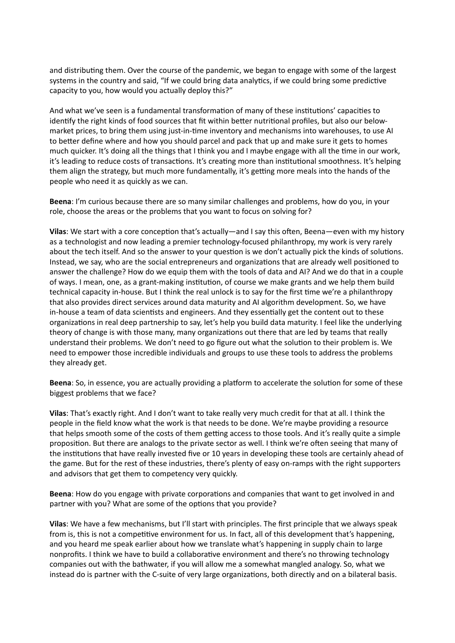and distributing them. Over the course of the pandemic, we began to engage with some of the largest systems in the country and said, "If we could bring data analytics, if we could bring some predictive capacity to you, how would you actually deploy this?"

And what we've seen is a fundamental transformation of many of these institutions' capacities to identify the right kinds of food sources that fit within better nutritional profiles, but also our belowmarket prices, to bring them using just-in-time inventory and mechanisms into warehouses, to use AI to better define where and how you should parcel and pack that up and make sure it gets to homes much quicker. It's doing all the things that I think you and I maybe engage with all the time in our work, it's leading to reduce costs of transactions. It's creating more than institutional smoothness. It's helping them align the strategy, but much more fundamentally, it's getting more meals into the hands of the people who need it as quickly as we can.

**Beena**: I'm curious because there are so many similar challenges and problems, how do you, in your role, choose the areas or the problems that you want to focus on solving for?

**Vilas**: We start with a core conception that's actually—and I say this often, Beena—even with my history as a technologist and now leading a premier technology-focused philanthropy, my work is very rarely about the tech itself. And so the answer to your question is we don't actually pick the kinds of solutions. Instead, we say, who are the social entrepreneurs and organizations that are already well positioned to answer the challenge? How do we equip them with the tools of data and AI? And we do that in a couple of ways. I mean, one, as a grant-making institution, of course we make grants and we help them build technical capacity in-house. But I think the real unlock is to say for the first time we're a philanthropy that also provides direct services around data maturity and AI algorithm development. So, we have in-house a team of data scientists and engineers. And they essentially get the content out to these organizations in real deep partnership to say, let's help you build data maturity. I feel like the underlying theory of change is with those many, many organizations out there that are led by teams that really understand their problems. We don't need to go figure out what the solution to their problem is. We need to empower those incredible individuals and groups to use these tools to address the problems they already get.

**Beena**: So, in essence, you are actually providing a platform to accelerate the solution for some of these biggest problems that we face?

**Vilas**: That's exactly right. And I don't want to take really very much credit for that at all. I think the people in the field know what the work is that needs to be done. We're maybe providing a resource that helps smooth some of the costs of them getting access to those tools. And it's really quite a simple proposition. But there are analogs to the private sector as well. I think we're often seeing that many of the institutions that have really invested five or 10 years in developing these tools are certainly ahead of the game. But for the rest of these industries, there's plenty of easy on-ramps with the right supporters and advisors that get them to competency very quickly.

**Beena**: How do you engage with private corporations and companies that want to get involved in and partner with you? What are some of the options that you provide?

**Vilas**: We have a few mechanisms, but I'll start with principles. The first principle that we always speak from is, this is not a competitive environment for us. In fact, all of this development that's happening, and you heard me speak earlier about how we translate what's happening in supply chain to large nonprofits. I think we have to build a collaborative environment and there's no throwing technology companies out with the bathwater, if you will allow me a somewhat mangled analogy. So, what we instead do is partner with the C-suite of very large organizations, both directly and on a bilateral basis.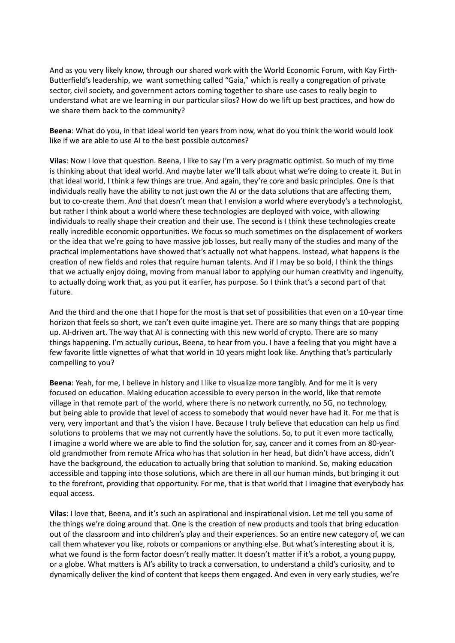And as you very likely know, through our shared work with the World Economic Forum, with Kay Firth-Butterfield's leadership, we want something called "Gaia," which is really a congregation of private sector, civil society, and government actors coming together to share use cases to really begin to understand what are we learning in our particular silos? How do we lift up best practices, and how do we share them back to the community?

**Beena**: What do you, in that ideal world ten years from now, what do you think the world would look like if we are able to use AI to the best possible outcomes?

**Vilas**: Now I love that question. Beena, I like to say I'm a very pragmatic optimist. So much of my time is thinking about that ideal world. And maybe later we'll talk about what we're doing to create it. But in that ideal world, I think a few things are true. And again, they're core and basic principles. One is that individuals really have the ability to not just own the AI or the data solutions that are affecting them, but to co-create them. And that doesn't mean that I envision a world where everybody's a technologist, but rather I think about a world where these technologies are deployed with voice, with allowing individuals to really shape their creation and their use. The second is I think these technologies create really incredible economic opportunities. We focus so much sometimes on the displacement of workers or the idea that we're going to have massive job losses, but really many of the studies and many of the practical implementations have showed that's actually not what happens. Instead, what happens is the creation of new fields and roles that require human talents. And if I may be so bold, I think the things that we actually enjoy doing, moving from manual labor to applying our human creativity and ingenuity, to actually doing work that, as you put it earlier, has purpose. So I think that's a second part of that future.

And the third and the one that I hope for the most is that set of possibilities that even on a 10-year time horizon that feels so short, we can't even quite imagine yet. There are so many things that are popping up. AI-driven art. The way that AI is connecting with this new world of crypto. There are so many things happening. I'm actually curious, Beena, to hear from you. I have a feeling that you might have a few favorite little vignettes of what that world in 10 years might look like. Anything that's particularly compelling to you?

**Beena**: Yeah, for me, I believe in history and I like to visualize more tangibly. And for me it is very focused on education. Making education accessible to every person in the world, like that remote village in that remote part of the world, where there is no network currently, no 5G, no technology, but being able to provide that level of access to somebody that would never have had it. For me that is very, very important and that's the vision I have. Because I truly believe that education can help us find solutions to problems that we may not currently have the solutions. So, to put it even more tactically, I imagine a world where we are able to find the solution for, say, cancer and it comes from an 80-yearold grandmother from remote Africa who has that solution in her head, but didn't have access, didn't have the background, the education to actually bring that solution to mankind. So, making education accessible and tapping into those solutions, which are there in all our human minds, but bringing it out to the forefront, providing that opportunity. For me, that is that world that I imagine that everybody has equal access.

**Vilas**: I love that, Beena, and it's such an aspirational and inspirational vision. Let me tell you some of the things we're doing around that. One is the creation of new products and tools that bring education out of the classroom and into children's play and their experiences. So an entire new category of, we can call them whatever you like, robots or companions or anything else. But what's interesting about it is, what we found is the form factor doesn't really matter. It doesn't matter if it's a robot, a young puppy, or a globe. What matters is AI's ability to track a conversation, to understand a child's curiosity, and to dynamically deliver the kind of content that keeps them engaged. And even in very early studies, we're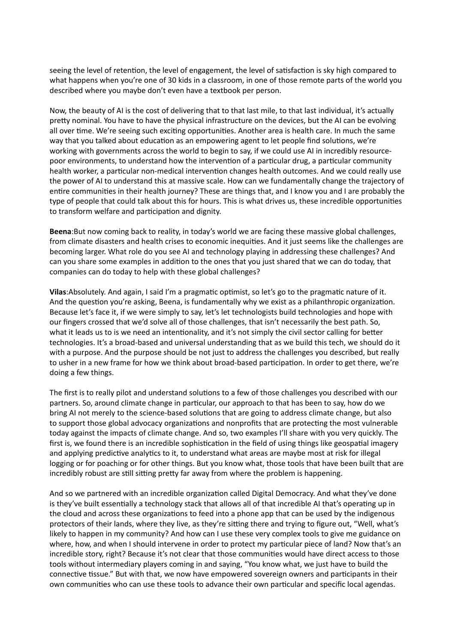seeing the level of retention, the level of engagement, the level of satisfaction is sky high compared to what happens when you're one of 30 kids in a classroom, in one of those remote parts of the world you described where you maybe don't even have a textbook per person.

Now, the beauty of AI is the cost of delivering that to that last mile, to that last individual, it's actually pretty nominal. You have to have the physical infrastructure on the devices, but the AI can be evolving all over time. We're seeing such exciting opportunities. Another area is health care. In much the same way that you talked about education as an empowering agent to let people find solutions, we're working with governments across the world to begin to say, if we could use AI in incredibly resourcepoor environments, to understand how the intervention of a particular drug, a particular community health worker, a particular non-medical intervention changes health outcomes. And we could really use the power of AI to understand this at massive scale. How can we fundamentally change the trajectory of entire communities in their health journey? These are things that, and I know you and I are probably the type of people that could talk about this for hours. This is what drives us, these incredible opportunities to transform welfare and participation and dignity.

**Beena**:But now coming back to reality, in today's world we are facing these massive global challenges, from climate disasters and health crises to economic inequities. And it just seems like the challenges are becoming larger. What role do you see AI and technology playing in addressing these challenges? And can you share some examples in addition to the ones that you just shared that we can do today, that companies can do today to help with these global challenges?

**Vilas**:Absolutely. And again, I said I'm a pragmatic optimist, so let's go to the pragmatic nature of it. And the question you're asking, Beena, is fundamentally why we exist as a philanthropic organization. Because let's face it, if we were simply to say, let's let technologists build technologies and hope with our fingers crossed that we'd solve all of those challenges, that isn't necessarily the best path. So, what it leads us to is we need an intentionality, and it's not simply the civil sector calling for better technologies. It's a broad-based and universal understanding that as we build this tech, we should do it with a purpose. And the purpose should be not just to address the challenges you described, but really to usher in a new frame for how we think about broad-based participation. In order to get there, we're doing a few things.

The first is to really pilot and understand solutions to a few of those challenges you described with our partners. So, around climate change in particular, our approach to that has been to say, how do we bring AI not merely to the science-based solutions that are going to address climate change, but also to support those global advocacy organizations and nonprofits that are protecting the most vulnerable today against the impacts of climate change. And so, two examples I'll share with you very quickly. The first is, we found there is an incredible sophistication in the field of using things like geospatial imagery and applying predictive analytics to it, to understand what areas are maybe most at risk for illegal logging or for poaching or for other things. But you know what, those tools that have been built that are incredibly robust are still sitting pretty far away from where the problem is happening.

And so we partnered with an incredible organization called Digital Democracy. And what they've done is they've built essentially a technology stack that allows all of that incredible AI that's operating up in the cloud and across these organizations to feed into a phone app that can be used by the indigenous protectors of their lands, where they live, as they're sitting there and trying to figure out, "Well, what's likely to happen in my community? And how can I use these very complex tools to give me guidance on where, how, and when I should intervene in order to protect my particular piece of land? Now that's an incredible story, right? Because it's not clear that those communities would have direct access to those tools without intermediary players coming in and saying, "You know what, we just have to build the connective tissue." But with that, we now have empowered sovereign owners and participants in their own communities who can use these tools to advance their own particular and specific local agendas.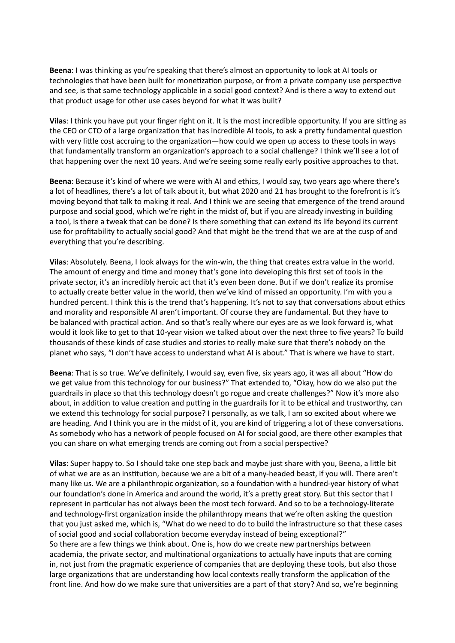**Beena**: I was thinking as you're speaking that there's almost an opportunity to look at AI tools or technologies that have been built for monetization purpose, or from a private company use perspective and see, is that same technology applicable in a social good context? And is there a way to extend out that product usage for other use cases beyond for what it was built?

**Vilas**: I think you have put your finger right on it. It is the most incredible opportunity. If you are sitting as the CEO or CTO of a large organization that has incredible AI tools, to ask a pretty fundamental question with very little cost accruing to the organization—how could we open up access to these tools in ways that fundamentally transform an organization's approach to a social challenge? I think we'll see a lot of that happening over the next 10 years. And we're seeing some really early positive approaches to that.

**Beena**: Because it's kind of where we were with AI and ethics, I would say, two years ago where there's a lot of headlines, there's a lot of talk about it, but what 2020 and 21 has brought to the forefront is it's moving beyond that talk to making it real. And I think we are seeing that emergence of the trend around purpose and social good, which we're right in the midst of, but if you are already investing in building a tool, is there a tweak that can be done? Is there something that can extend its life beyond its current use for profitability to actually social good? And that might be the trend that we are at the cusp of and everything that you're describing.

**Vilas**: Absolutely. Beena, I look always for the win-win, the thing that creates extra value in the world. The amount of energy and time and money that's gone into developing this first set of tools in the private sector, it's an incredibly heroic act that it's even been done. But if we don't realize its promise to actually create better value in the world, then we've kind of missed an opportunity. I'm with you a hundred percent. I think this is the trend that's happening. It's not to say that conversations about ethics and morality and responsible AI aren't important. Of course they are fundamental. But they have to be balanced with practical action. And so that's really where our eyes are as we look forward is, what would it look like to get to that 10-year vision we talked about over the next three to five years? To build thousands of these kinds of case studies and stories to really make sure that there's nobody on the planet who says, "I don't have access to understand what AI is about." That is where we have to start.

**Beena**: That is so true. We've definitely, I would say, even five, six years ago, it was all about "How do we get value from this technology for our business?" That extended to, "Okay, how do we also put the guardrails in place so that this technology doesn't go rogue and create challenges?" Now it's more also about, in addition to value creation and putting in the guardrails for it to be ethical and trustworthy, can we extend this technology for social purpose? I personally, as we talk, I am so excited about where we are heading. And I think you are in the midst of it, you are kind of triggering a lot of these conversations. As somebody who has a network of people focused on AI for social good, are there other examples that you can share on what emerging trends are coming out from a social perspective?

**Vilas**: Super happy to. So I should take one step back and maybe just share with you, Beena, a little bit of what we are as an institution, because we are a bit of a many-headed beast, if you will. There aren't many like us. We are a philanthropic organization, so a foundation with a hundred-year history of what our foundation's done in America and around the world, it's a pretty great story. But this sector that I represent in particular has not always been the most tech forward. And so to be a technology-literate and technology-first organization inside the philanthropy means that we're often asking the question that you just asked me, which is, "What do we need to do to build the infrastructure so that these cases of social good and social collaboration become everyday instead of being exceptional?" So there are a few things we think about. One is, how do we create new partnerships between academia, the private sector, and multinational organizations to actually have inputs that are coming in, not just from the pragmatic experience of companies that are deploying these tools, but also those large organizations that are understanding how local contexts really transform the application of the front line. And how do we make sure that universities are a part of that story? And so, we're beginning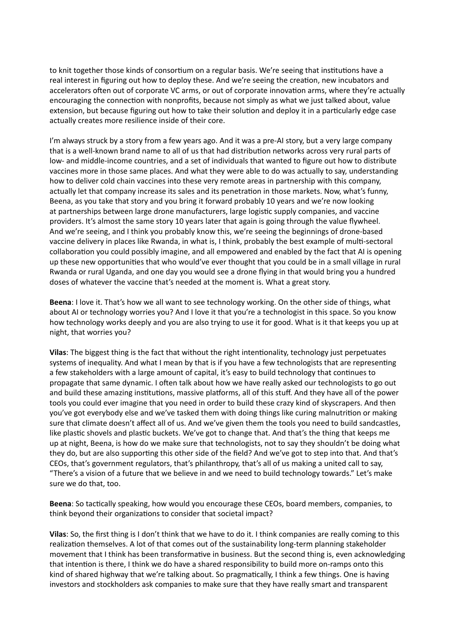to knit together those kinds of consortium on a regular basis. We're seeing that institutions have a real interest in figuring out how to deploy these. And we're seeing the creation, new incubators and accelerators often out of corporate VC arms, or out of corporate innovation arms, where they're actually encouraging the connection with nonprofits, because not simply as what we just talked about, value extension, but because figuring out how to take their solution and deploy it in a particularly edge case actually creates more resilience inside of their core.

I'm always struck by a story from a few years ago. And it was a pre-AI story, but a very large company that is a well-known brand name to all of us that had distribution networks across very rural parts of low- and middle-income countries, and a set of individuals that wanted to figure out how to distribute vaccines more in those same places. And what they were able to do was actually to say, understanding how to deliver cold chain vaccines into these very remote areas in partnership with this company, actually let that company increase its sales and its penetration in those markets. Now, what's funny, Beena, as you take that story and you bring it forward probably 10 years and we're now looking at partnerships between large drone manufacturers, large logistic supply companies, and vaccine providers. It's almost the same story 10 years later that again is going through the value flywheel. And we're seeing, and I think you probably know this, we're seeing the beginnings of drone-based vaccine delivery in places like Rwanda, in what is, I think, probably the best example of multi-sectoral collaboration you could possibly imagine, and all empowered and enabled by the fact that AI is opening up these new opportunities that who would've ever thought that you could be in a small village in rural Rwanda or rural Uganda, and one day you would see a drone flying in that would bring you a hundred doses of whatever the vaccine that's needed at the moment is. What a great story.

**Beena**: I love it. That's how we all want to see technology working. On the other side of things, what about AI or technology worries you? And I love it that you're a technologist in this space. So you know how technology works deeply and you are also trying to use it for good. What is it that keeps you up at night, that worries you?

**Vilas**: The biggest thing is the fact that without the right intentionality, technology just perpetuates systems of inequality. And what I mean by that is if you have a few technologists that are representing a few stakeholders with a large amount of capital, it's easy to build technology that continues to propagate that same dynamic. I often talk about how we have really asked our technologists to go out and build these amazing institutions, massive platforms, all of this stuff. And they have all of the power tools you could ever imagine that you need in order to build these crazy kind of skyscrapers. And then you've got everybody else and we've tasked them with doing things like curing malnutrition or making sure that climate doesn't affect all of us. And we've given them the tools you need to build sandcastles, like plastic shovels and plastic buckets. We've got to change that. And that's the thing that keeps me up at night, Beena, is how do we make sure that technologists, not to say they shouldn't be doing what they do, but are also supporting this other side of the field? And we've got to step into that. And that's CEOs, that's government regulators, that's philanthropy, that's all of us making a united call to say, "There's a vision of a future that we believe in and we need to build technology towards." Let's make sure we do that, too.

**Beena**: So tactically speaking, how would you encourage these CEOs, board members, companies, to think beyond their organizations to consider that societal impact?

**Vilas**: So, the first thing is I don't think that we have to do it. I think companies are really coming to this realization themselves. A lot of that comes out of the sustainability long-term planning stakeholder movement that I think has been transformative in business. But the second thing is, even acknowledging that intention is there, I think we do have a shared responsibility to build more on-ramps onto this kind of shared highway that we're talking about. So pragmatically, I think a few things. One is having investors and stockholders ask companies to make sure that they have really smart and transparent